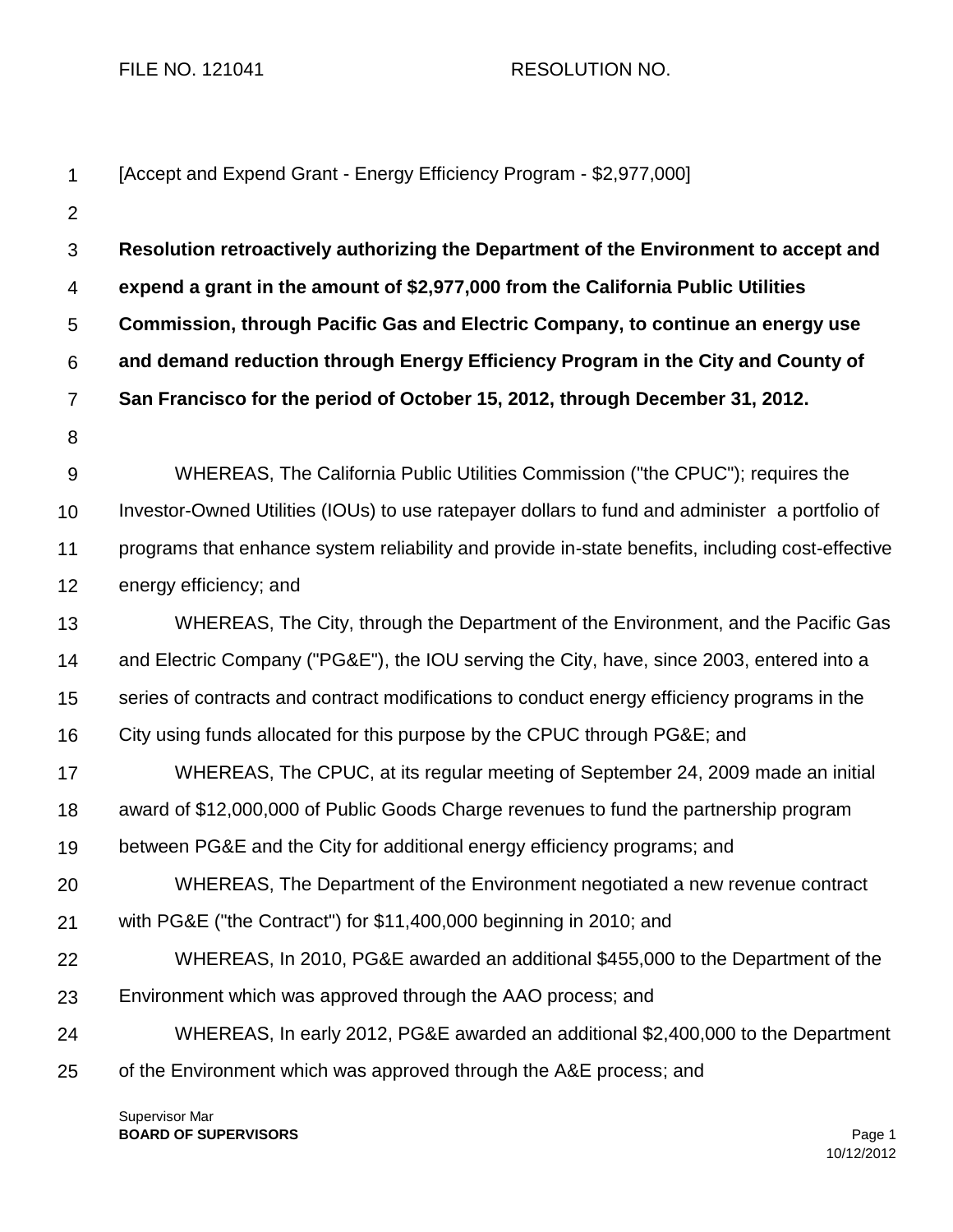FILE NO. 121041 RESOLUTION NO.

| $\mathbf 1$      | [Accept and Expend Grant - Energy Efficiency Program - \$2,977,000]                              |  |  |
|------------------|--------------------------------------------------------------------------------------------------|--|--|
| $\overline{2}$   |                                                                                                  |  |  |
| 3                | Resolution retroactively authorizing the Department of the Environment to accept and             |  |  |
| 4                | expend a grant in the amount of \$2,977,000 from the California Public Utilities                 |  |  |
| 5                | Commission, through Pacific Gas and Electric Company, to continue an energy use                  |  |  |
| 6                | and demand reduction through Energy Efficiency Program in the City and County of                 |  |  |
| $\overline{7}$   | San Francisco for the period of October 15, 2012, through December 31, 2012.                     |  |  |
| 8                |                                                                                                  |  |  |
| $\boldsymbol{9}$ | WHEREAS, The California Public Utilities Commission ("the CPUC"); requires the                   |  |  |
| 10               | Investor-Owned Utilities (IOUs) to use ratepayer dollars to fund and administer a portfolio of   |  |  |
| 11               | programs that enhance system reliability and provide in-state benefits, including cost-effective |  |  |
| 12               | energy efficiency; and                                                                           |  |  |
| 13               | WHEREAS, The City, through the Department of the Environment, and the Pacific Gas                |  |  |
| 14               | and Electric Company ("PG&E"), the IOU serving the City, have, since 2003, entered into a        |  |  |
| 15               | series of contracts and contract modifications to conduct energy efficiency programs in the      |  |  |
| 16               | City using funds allocated for this purpose by the CPUC through PG&E and                         |  |  |
| 17               | WHEREAS, The CPUC, at its regular meeting of September 24, 2009 made an initial                  |  |  |
| 18               | award of \$12,000,000 of Public Goods Charge revenues to fund the partnership program            |  |  |
| 19               | between PG&E and the City for additional energy efficiency programs; and                         |  |  |
| 20               | WHEREAS, The Department of the Environment negotiated a new revenue contract                     |  |  |
| 21               | with PG&E ("the Contract") for \$11,400,000 beginning in 2010; and                               |  |  |
| 22               | WHEREAS, In 2010, PG&E awarded an additional \$455,000 to the Department of the                  |  |  |
| 23               | Environment which was approved through the AAO process; and                                      |  |  |
| 24               | WHEREAS, In early 2012, PG&E awarded an additional \$2,400,000 to the Department                 |  |  |
| 25               | of the Environment which was approved through the A&E process; and                               |  |  |

Supervisor Mar **BOARD OF SUPERVISORS** Page 1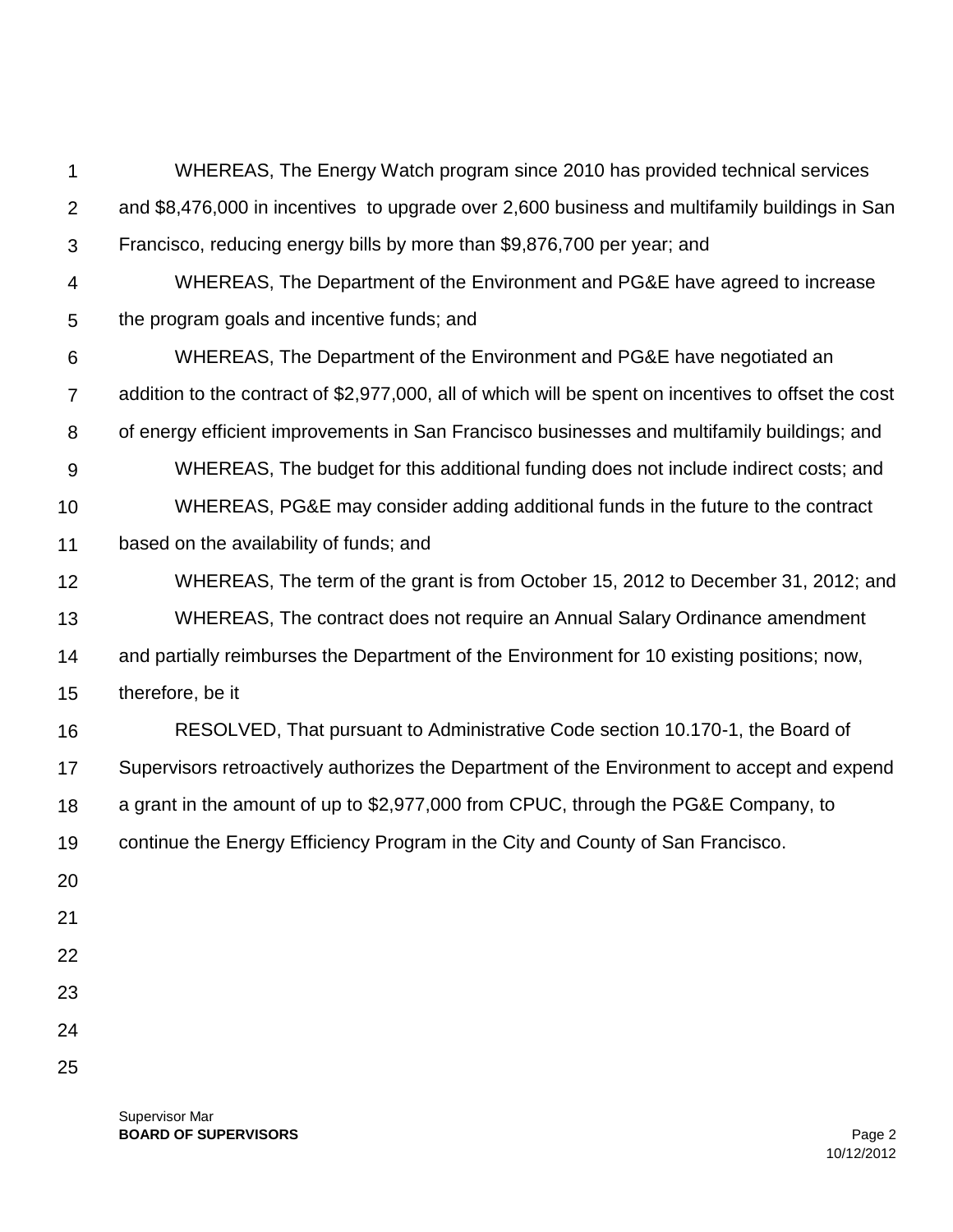| 1              | WHEREAS, The Energy Watch program since 2010 has provided technical services                         |  |  |
|----------------|------------------------------------------------------------------------------------------------------|--|--|
| $\overline{2}$ | and \$8,476,000 in incentives to upgrade over 2,600 business and multifamily buildings in San        |  |  |
| 3              | Francisco, reducing energy bills by more than \$9,876,700 per year; and                              |  |  |
| 4              | WHEREAS, The Department of the Environment and PG&E have agreed to increase                          |  |  |
| 5              | the program goals and incentive funds; and                                                           |  |  |
| 6              | WHEREAS, The Department of the Environment and PG&E have negotiated an                               |  |  |
| $\overline{7}$ | addition to the contract of \$2,977,000, all of which will be spent on incentives to offset the cost |  |  |
| 8              | of energy efficient improvements in San Francisco businesses and multifamily buildings; and          |  |  |
| 9              | WHEREAS, The budget for this additional funding does not include indirect costs; and                 |  |  |
| 10             | WHEREAS, PG&E may consider adding additional funds in the future to the contract                     |  |  |
| 11             | based on the availability of funds; and                                                              |  |  |
| 12             | WHEREAS, The term of the grant is from October 15, 2012 to December 31, 2012; and                    |  |  |
| 13             | WHEREAS, The contract does not require an Annual Salary Ordinance amendment                          |  |  |
| 14             | and partially reimburses the Department of the Environment for 10 existing positions; now,           |  |  |
| 15             | therefore, be it                                                                                     |  |  |
| 16             | RESOLVED, That pursuant to Administrative Code section 10.170-1, the Board of                        |  |  |
| 17             | Supervisors retroactively authorizes the Department of the Environment to accept and expend          |  |  |
| 18             | a grant in the amount of up to \$2,977,000 from CPUC, through the PG&E Company, to                   |  |  |
| 19             | continue the Energy Efficiency Program in the City and County of San Francisco.                      |  |  |
| 20             |                                                                                                      |  |  |
| 21             |                                                                                                      |  |  |
| 22             |                                                                                                      |  |  |
| 23             |                                                                                                      |  |  |
| 24             |                                                                                                      |  |  |
| 25             |                                                                                                      |  |  |